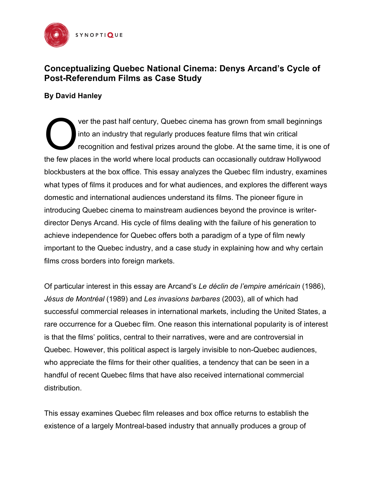

# **Conceptualizing Quebec National Cinema: Denys Arcand's Cycle of Post-Referendum Films as Case Study**

## **By David Hanley**

ver the past half century, Quebec cinema has grown from small beginnings into an industry that regularly produces feature films that win critical recognition and festival prizes around the globe. At the same time, it is one of the few places in the world where local products can occasionally outdraw Hollywood blockbusters at the box office. This essay analyzes the Quebec film industry, examines what types of films it produces and for what audiences, and explores the different ways domestic and international audiences understand its films. The pioneer figure in introducing Quebec cinema to mainstream audiences beyond the province is writerdirector Denys Arcand. His cycle of films dealing with the failure of his generation to achieve independence for Quebec offers both a paradigm of a type of film newly important to the Quebec industry, and a case study in explaining how and why certain films cross borders into foreign markets. O

Of particular interest in this essay are Arcand's *Le déclin de l'empire américain* (1986), *Jésus de Montréal* (1989) and *Les invasions barbares* (2003), all of which had successful commercial releases in international markets, including the United States, a rare occurrence for a Quebec film. One reason this international popularity is of interest is that the films' politics, central to their narratives, were and are controversial in Quebec. However, this political aspect is largely invisible to non-Quebec audiences, who appreciate the films for their other qualities, a tendency that can be seen in a handful of recent Quebec films that have also received international commercial distribution.

This essay examines Quebec film releases and box office returns to establish the existence of a largely Montreal-based industry that annually produces a group of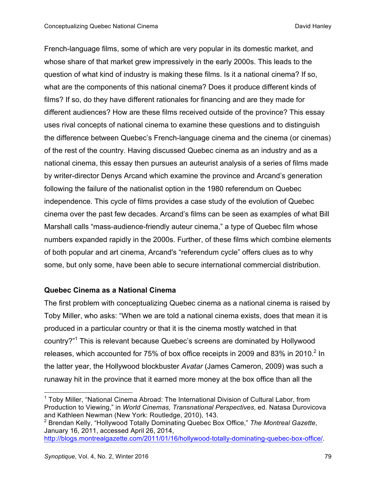French-language films, some of which are very popular in its domestic market, and whose share of that market grew impressively in the early 2000s. This leads to the question of what kind of industry is making these films. Is it a national cinema? If so, what are the components of this national cinema? Does it produce different kinds of films? If so, do they have different rationales for financing and are they made for different audiences? How are these films received outside of the province? This essay uses rival concepts of national cinema to examine these questions and to distinguish the difference between Quebec's French-language cinema and the cinema (or cinemas) of the rest of the country. Having discussed Quebec cinema as an industry and as a national cinema, this essay then pursues an auteurist analysis of a series of films made by writer-director Denys Arcand which examine the province and Arcand's generation following the failure of the nationalist option in the 1980 referendum on Quebec independence. This cycle of films provides a case study of the evolution of Quebec cinema over the past few decades. Arcand's films can be seen as examples of what Bill Marshall calls "mass-audience-friendly auteur cinema," a type of Quebec film whose numbers expanded rapidly in the 2000s. Further, of these films which combine elements of both popular and art cinema, Arcand's "referendum cycle" offers clues as to why some, but only some, have been able to secure international commercial distribution.

### **Quebec Cinema as a National Cinema**

The first problem with conceptualizing Quebec cinema as a national cinema is raised by Toby Miller, who asks: "When we are told a national cinema exists, does that mean it is produced in a particular country or that it is the cinema mostly watched in that country?"1 This is relevant because Quebec's screens are dominated by Hollywood releases, which accounted for 75% of box office receipts in 2009 and 83% in 2010.<sup>2</sup> In the latter year, the Hollywood blockbuster *Avatar* (James Cameron, 2009) was such a runaway hit in the province that it earned more money at the box office than all the

<sup>&</sup>lt;sup>1</sup> Toby Miller, "National Cinema Abroad: The International Division of Cultural Labor, from Production to Viewing," in *World Cinemas, Transnational Perspectives*, ed. Natasa Durovicova and Kathleen Newman (New York: Routledge, 2010), 143.

<sup>2</sup> Brendan Kelly, "Hollywood Totally Dominating Quebec Box Office," *The Montreal Gazette*, January 16, 2011, accessed April 26, 2014,

http://blogs.montrealgazette.com/2011/01/16/hollywood-totally-dominating-quebec-box-office/.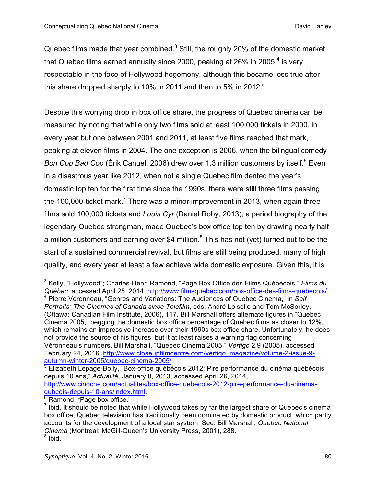Quebec films made that year combined. $3$  Still, the roughly 20% of the domestic market that Quebec films earned annually since 2000, peaking at  $26\%$  in 2005,<sup>4</sup> is very respectable in the face of Hollywood hegemony, although this became less true after this share dropped sharply to 10% in 2011 and then to 5% in 2012.<sup>5</sup>

Despite this worrying drop in box office share, the progress of Quebec cinema can be measured by noting that while only two films sold at least 100,000 tickets in 2000, in every year but one between 2001 and 2011, at least five films reached that mark, peaking at eleven films in 2004. The one exception is 2006, when the bilingual comedy *Bon Cop Bad Cop* (Érik Canuel, 2006) drew over 1.3 million customers by itself.<sup>6</sup> Even in a disastrous year like 2012, when not a single Quebec film dented the year's domestic top ten for the first time since the 1990s, there were still three films passing the 100,000-ticket mark.<sup>7</sup> There was a minor improvement in 2013, when again three films sold 100,000 tickets and *Louis Cyr* (Daniel Roby, 2013), a period biography of the legendary Quebec strongman, made Quebec's box office top ten by drawing nearly half a million customers and earning over \$4 million. $8$  This has not (yet) turned out to be the start of a sustained commercial revival, but films are still being produced, many of high quality, and every year at least a few achieve wide domestic exposure. Given this, it is

 <sup>3</sup> Kelly, "Hollywood"; Charles-Henri Ramond, "Page Box Office des Films Québécois," *Films du Québec*, accessed April 25, 2014, http://www.filmsquebec.com/box-office-des-films-quebecois/. <sup>4</sup> Pierre Véronneau, "Genres and Variations: The Audiences of Quebec Cinema," in *Self Portraits: The Cinemas of Canada since Telefilm*, eds. André Loiselle and Tom McSorley, (Ottawa: Canadian Film Institute, 2006), 117. Bill Marshall offers alternate figures in "Quebec Cinema 2005," pegging the domestic box office percentage of Quebec films as closer to 12%, which remains an impressive increase over their 1990s box office share. Unfortunately, he does not provide the source of his figures, but it at least raises a warning flag concerning Véronneau's numbers. Bill Marshall, "Quebec Cinema 2005," *Vertigo* 2.9 (2005), accessed February 24, 2016. http://www.closeupfilmcentre.com/vertigo\_magazine/volume-2-issue-9 autumn-winter-2005/quebec-cinema-2005/

<sup>&</sup>lt;sup>5</sup> Elizabeth Lepage-Boily, "Box-office québécois 2012: Pire performance du cinéma québécois depuis 10 ans," *Actualité*, January 8, 2013, accessed April 26, 2014, http://www.cinoche.com/actualites/box-office-quebecois-2012-pire-performance-du-cinema-

qubcois-depuis-10-ans/index.html.<br><sup>6</sup> Ramond, "Page box office."

<sup>7</sup> Ibid. It should be noted that while Hollywood takes by far the largest share of Quebec's cinema box office, Quebec television has traditionally been dominated by domestic product, which partly accounts for the development of a local star system. See: Bill Marshall, *Quebec National Cinema* (Montreal: McGill-Queen's University Press, 2001), 288.  $8$  Ibid.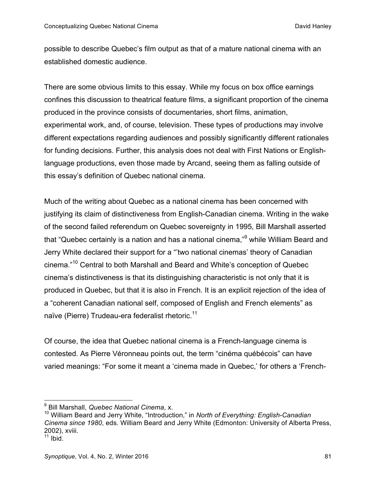possible to describe Quebec's film output as that of a mature national cinema with an established domestic audience.

There are some obvious limits to this essay. While my focus on box office earnings confines this discussion to theatrical feature films, a significant proportion of the cinema produced in the province consists of documentaries, short films, animation, experimental work, and, of course, television. These types of productions may involve different expectations regarding audiences and possibly significantly different rationales for funding decisions. Further, this analysis does not deal with First Nations or Englishlanguage productions, even those made by Arcand, seeing them as falling outside of this essay's definition of Quebec national cinema.

Much of the writing about Quebec as a national cinema has been concerned with justifying its claim of distinctiveness from English-Canadian cinema. Writing in the wake of the second failed referendum on Quebec sovereignty in 1995, Bill Marshall asserted that "Quebec certainly is a nation and has a national cinema," while William Beard and Jerry White declared their support for a "'two national cinemas' theory of Canadian cinema."<sup>10</sup> Central to both Marshall and Beard and White's conception of Quebec cinema's distinctiveness is that its distinguishing characteristic is not only that it is produced in Quebec, but that it is also in French. It is an explicit rejection of the idea of a "coherent Canadian national self, composed of English and French elements" as naïve (Pierre) Trudeau-era federalist rhetoric.<sup>11</sup>

Of course, the idea that Quebec national cinema is a French-language cinema is contested. As Pierre Véronneau points out, the term "cinéma québécois" can have varied meanings: "For some it meant a 'cinema made in Quebec,' for others a 'French-

 <sup>9</sup> Bill Marshall, *Quebec National Cinema*, x.

<sup>10</sup> William Beard and Jerry White, "Introduction," in *North of Everything: English-Canadian Cinema since 1980*, eds. William Beard and Jerry White (Edmonton: University of Alberta Press, 2002), xviii.

 $11$  Ibid.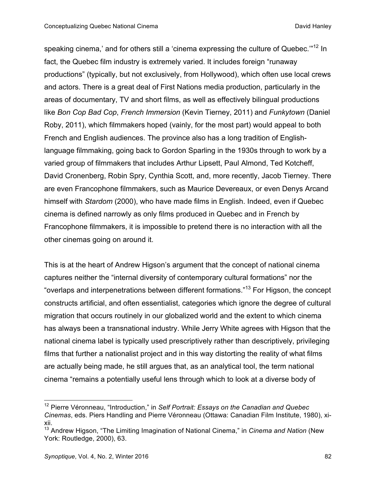speaking cinema,' and for others still a 'cinema expressing the culture of Quebec."<sup>12</sup> In fact, the Quebec film industry is extremely varied. It includes foreign "runaway productions" (typically, but not exclusively, from Hollywood), which often use local crews and actors. There is a great deal of First Nations media production, particularly in the areas of documentary, TV and short films, as well as effectively bilingual productions like *Bon Cop Bad Cop*, *French Immersion* (Kevin Tierney, 2011) and *Funkytown* (Daniel Roby, 2011), which filmmakers hoped (vainly, for the most part) would appeal to both French and English audiences. The province also has a long tradition of Englishlanguage filmmaking, going back to Gordon Sparling in the 1930s through to work by a varied group of filmmakers that includes Arthur Lipsett, Paul Almond, Ted Kotcheff, David Cronenberg, Robin Spry, Cynthia Scott, and, more recently, Jacob Tierney. There are even Francophone filmmakers, such as Maurice Devereaux, or even Denys Arcand himself with *Stardom* (2000), who have made films in English. Indeed, even if Quebec cinema is defined narrowly as only films produced in Quebec and in French by Francophone filmmakers, it is impossible to pretend there is no interaction with all the other cinemas going on around it.

This is at the heart of Andrew Higson's argument that the concept of national cinema captures neither the "internal diversity of contemporary cultural formations" nor the "overlaps and interpenetrations between different formations."<sup>13</sup> For Higson, the concept constructs artificial, and often essentialist, categories which ignore the degree of cultural migration that occurs routinely in our globalized world and the extent to which cinema has always been a transnational industry. While Jerry White agrees with Higson that the national cinema label is typically used prescriptively rather than descriptively, privileging films that further a nationalist project and in this way distorting the reality of what films are actually being made, he still argues that, as an analytical tool, the term national cinema "remains a potentially useful lens through which to look at a diverse body of

 <sup>12</sup> Pierre Véronneau, "Introduction," in *Self Portrait: Essays on the Canadian and Quebec Cinemas*, eds. Piers Handling and Pierre Véronneau (Ottawa: Canadian Film Institute, 1980), xixii.

<sup>13</sup> Andrew Higson, "The Limiting Imagination of National Cinema," in *Cinema and Nation* (New York: Routledge, 2000), 63.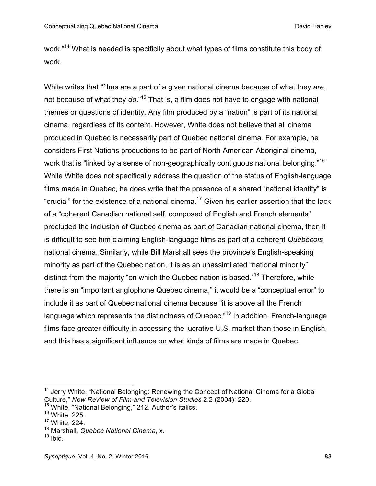work."<sup>14</sup> What is needed is specificity about what types of films constitute this body of work.

White writes that "films are a part of a given national cinema because of what they *are*, not because of what they *do*."15 That is, a film does not have to engage with national themes or questions of identity. Any film produced by a "nation" is part of its national cinema, regardless of its content. However, White does not believe that all cinema produced in Quebec is necessarily part of Quebec national cinema. For example, he considers First Nations productions to be part of North American Aboriginal cinema, work that is "linked by a sense of non-geographically contiguous national belonging."<sup>16</sup> While White does not specifically address the question of the status of English-language films made in Quebec, he does write that the presence of a shared "national identity" is "crucial" for the existence of a national cinema.<sup>17</sup> Given his earlier assertion that the lack of a "coherent Canadian national self, composed of English and French elements" precluded the inclusion of Quebec cinema as part of Canadian national cinema, then it is difficult to see him claiming English-language films as part of a coherent *Québécois* national cinema. Similarly, while Bill Marshall sees the province's English-speaking minority as part of the Quebec nation, it is as an unassimilated "national minority" distinct from the majority "on which the Quebec nation is based."<sup>18</sup> Therefore, while there is an "important anglophone Quebec cinema," it would be a "conceptual error" to include it as part of Quebec national cinema because "it is above all the French language which represents the distinctness of Quebec."<sup>19</sup> In addition, French-language films face greater difficulty in accessing the lucrative U.S. market than those in English, and this has a significant influence on what kinds of films are made in Quebec.

<sup>&</sup>lt;sup>14</sup> Jerry White, "National Belonging: Renewing the Concept of National Cinema for a Global Culture," *New Review of Film and Television Studies* 2.2 (2004): 220.

<sup>&</sup>lt;sup>15</sup> White, "National Belonging," 212. Author's italics.

<sup>16</sup> White, 225.

<sup>17</sup> White, 224.

<sup>18</sup> Marshall, *Quebec National Cinema*, x.

 $19$  Ibid.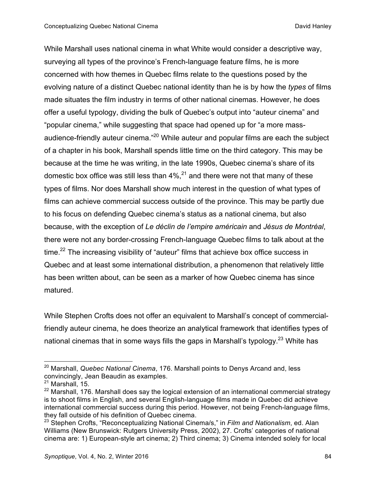While Marshall uses national cinema in what White would consider a descriptive way, surveying all types of the province's French-language feature films, he is more concerned with how themes in Quebec films relate to the questions posed by the evolving nature of a distinct Quebec national identity than he is by how the *types* of films made situates the film industry in terms of other national cinemas. However, he does offer a useful typology, dividing the bulk of Quebec's output into "auteur cinema" and "popular cinema," while suggesting that space had opened up for "a more massaudience-friendly auteur cinema."<sup>20</sup> While auteur and popular films are each the subject of a chapter in his book, Marshall spends little time on the third category. This may be because at the time he was writing, in the late 1990s, Quebec cinema's share of its domestic box office was still less than  $4\%$ <sup>21</sup> and there were not that many of these types of films. Nor does Marshall show much interest in the question of what types of films can achieve commercial success outside of the province. This may be partly due to his focus on defending Quebec cinema's status as a national cinema, but also because, with the exception of *Le déclin de l'empire américain* and *Jésus de Montréal*, there were not any border-crossing French-language Quebec films to talk about at the time.<sup>22</sup> The increasing visibility of "auteur" films that achieve box office success in Quebec and at least some international distribution, a phenomenon that relatively little has been written about, can be seen as a marker of how Quebec cinema has since matured.

While Stephen Crofts does not offer an equivalent to Marshall's concept of commercialfriendly auteur cinema, he does theorize an analytical framework that identifies types of national cinemas that in some ways fills the gaps in Marshall's typology.<sup>23</sup> White has

<sup>&</sup>lt;sup>20</sup> Marshall, *Quebec National Cinema*, 176. Marshall points to Denys Arcand and, less convincingly, Jean Beaudin as examples.

<sup>21</sup> Marshall, 15.

<sup>&</sup>lt;sup>22</sup> Marshall, 176. Marshall does say the logical extension of an international commercial strategy is to shoot films in English, and several English-language films made in Quebec did achieve international commercial success during this period. However, not being French-language films, they fall outside of his definition of Quebec cinema.

<sup>23</sup> Stephen Crofts, "Reconceptualizing National Cinema/s," in *Film and Nationalism*, ed. Alan Williams (New Brunswick: Rutgers University Press, 2002), 27. Crofts' categories of national cinema are: 1) European-style art cinema; 2) Third cinema; 3) Cinema intended solely for local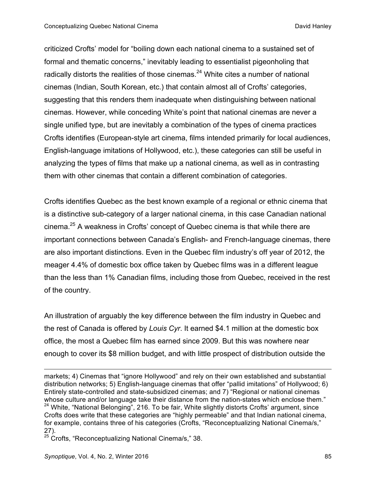criticized Crofts' model for "boiling down each national cinema to a sustained set of formal and thematic concerns," inevitably leading to essentialist pigeonholing that radically distorts the realities of those cinemas. $^{24}$  White cites a number of national cinemas (Indian, South Korean, etc.) that contain almost all of Crofts' categories, suggesting that this renders them inadequate when distinguishing between national cinemas. However, while conceding White's point that national cinemas are never a single unified type, but are inevitably a combination of the types of cinema practices Crofts identifies (European-style art cinema, films intended primarily for local audiences, English-language imitations of Hollywood, etc.), these categories can still be useful in analyzing the types of films that make up a national cinema, as well as in contrasting them with other cinemas that contain a different combination of categories.

Crofts identifies Quebec as the best known example of a regional or ethnic cinema that is a distinctive sub-category of a larger national cinema, in this case Canadian national cinema.25 A weakness in Crofts' concept of Quebec cinema is that while there are important connections between Canada's English- and French-language cinemas, there are also important distinctions. Even in the Quebec film industry's off year of 2012, the meager 4.4% of domestic box office taken by Quebec films was in a different league than the less than 1% Canadian films, including those from Quebec, received in the rest of the country.

An illustration of arguably the key difference between the film industry in Quebec and the rest of Canada is offered by *Louis Cyr*. It earned \$4.1 million at the domestic box office, the most a Quebec film has earned since 2009. But this was nowhere near enough to cover its \$8 million budget, and with little prospect of distribution outside the

<u> 1989 - Andrea Santa Andrea Andrea Andrea Andrea Andrea Andrea Andrea Andrea Andrea Andrea Andrea Andrea Andr</u>

25 Crofts, "Reconceptualizing National Cinema/s," 38.

markets; 4) Cinemas that "ignore Hollywood" and rely on their own established and substantial distribution networks; 5) English-language cinemas that offer "pallid imitations" of Hollywood; 6) Entirely state-controlled and state-subsidized cinemas; and 7) "Regional or national cinemas whose culture and/or language take their distance from the nation-states which enclose them." <sup>24</sup> White, "National Belonging", 216. To be fair, White slightly distorts Crofts' argument, since Crofts does write that these categories are "highly permeable" and that Indian national cinema, for example, contains three of his categories (Crofts, "Reconceptualizing National Cinema/s," 27).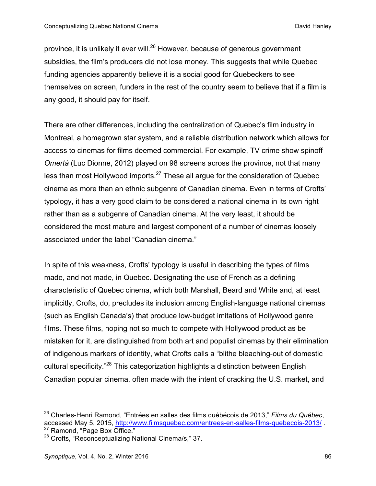province, it is unlikely it ever will.<sup>26</sup> However, because of generous government subsidies, the film's producers did not lose money. This suggests that while Quebec funding agencies apparently believe it is a social good for Quebeckers to see themselves on screen, funders in the rest of the country seem to believe that if a film is any good, it should pay for itself.

There are other differences, including the centralization of Quebec's film industry in Montreal, a homegrown star system, and a reliable distribution network which allows for access to cinemas for films deemed commercial. For example, TV crime show spinoff *Omertà* (Luc Dionne, 2012) played on 98 screens across the province, not that many less than most Hollywood imports.<sup>27</sup> These all argue for the consideration of Quebec cinema as more than an ethnic subgenre of Canadian cinema. Even in terms of Crofts' typology, it has a very good claim to be considered a national cinema in its own right rather than as a subgenre of Canadian cinema. At the very least, it should be considered the most mature and largest component of a number of cinemas loosely associated under the label "Canadian cinema."

In spite of this weakness, Crofts' typology is useful in describing the types of films made, and not made, in Quebec. Designating the use of French as a defining characteristic of Quebec cinema, which both Marshall, Beard and White and, at least implicitly, Crofts, do, precludes its inclusion among English-language national cinemas (such as English Canada's) that produce low-budget imitations of Hollywood genre films. These films, hoping not so much to compete with Hollywood product as be mistaken for it, are distinguished from both art and populist cinemas by their elimination of indigenous markers of identity, what Crofts calls a "blithe bleaching-out of domestic cultural specificity."28 This categorization highlights a distinction between English Canadian popular cinema, often made with the intent of cracking the U.S. market, and

<sup>26</sup> Charles-Henri Ramond, "Entrées en salles des films québécois de 2013," *Films du Québec*, accessed May 5, 2015, http://www.filmsquebec.com/entrees-en-salles-films-quebecois-2013/.<br><sup>27</sup> Ramond, "Page Box Office."

<sup>&</sup>lt;sup>28</sup> Crofts, "Reconceptualizing National Cinema/s," 37.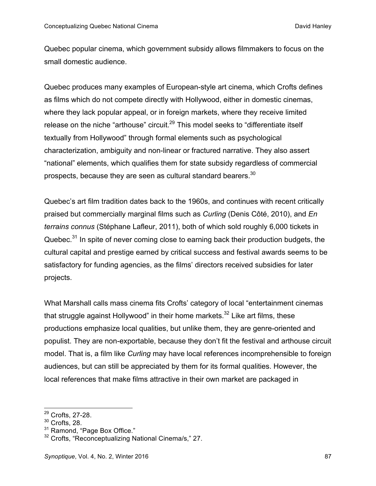Quebec popular cinema, which government subsidy allows filmmakers to focus on the small domestic audience.

Quebec produces many examples of European-style art cinema, which Crofts defines as films which do not compete directly with Hollywood, either in domestic cinemas, where they lack popular appeal, or in foreign markets, where they receive limited release on the niche "arthouse" circuit.<sup>29</sup> This model seeks to "differentiate itself textually from Hollywood" through formal elements such as psychological characterization, ambiguity and non-linear or fractured narrative. They also assert "national" elements, which qualifies them for state subsidy regardless of commercial prospects, because they are seen as cultural standard bearers.30

Quebec's art film tradition dates back to the 1960s, and continues with recent critically praised but commercially marginal films such as *Curling* (Denis Côté, 2010), and *En terrains connus* (Stéphane Lafleur, 2011), both of which sold roughly 6,000 tickets in Quebec.<sup>31</sup> In spite of never coming close to earning back their production budgets, the cultural capital and prestige earned by critical success and festival awards seems to be satisfactory for funding agencies, as the films' directors received subsidies for later projects.

What Marshall calls mass cinema fits Crofts' category of local "entertainment cinemas that struggle against Hollywood" in their home markets. $32$  Like art films, these productions emphasize local qualities, but unlike them, they are genre-oriented and populist. They are non-exportable, because they don't fit the festival and arthouse circuit model. That is, a film like *Curling* may have local references incomprehensible to foreign audiences, but can still be appreciated by them for its formal qualities. However, the local references that make films attractive in their own market are packaged in

<sup>&</sup>lt;u> 1989 - Johann Stein, markin film yn y breninn y breninn y breninn y breninn y breninn y breninn y breninn y b</u> <sup>29</sup> Crofts, 27-28.

 $30$  Crofts, 28.

<sup>&</sup>lt;sup>31</sup> Ramond, "Page Box Office."

<sup>&</sup>lt;sup>32</sup> Crofts, "Reconceptualizing National Cinema/s," 27.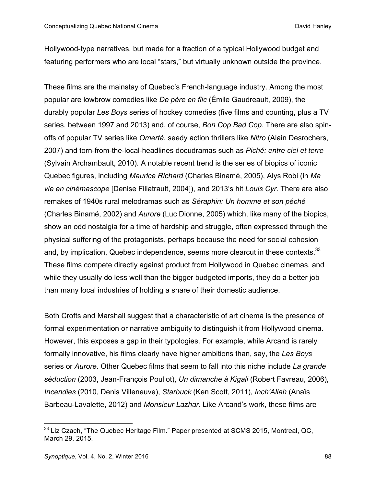Hollywood-type narratives, but made for a fraction of a typical Hollywood budget and featuring performers who are local "stars," but virtually unknown outside the province.

These films are the mainstay of Quebec's French-language industry. Among the most popular are lowbrow comedies like *De père en flic* (Émile Gaudreault, 2009), the durably popular *Les Boys* series of hockey comedies (five films and counting, plus a TV series, between 1997 and 2013) and, of course, *Bon Cop Bad Cop*. There are also spinoffs of popular TV series like *Omertà*, seedy action thrillers like *Nitro* (Alain Desrochers, 2007) and torn-from-the-local-headlines docudramas such as *Piché: entre ciel et terre* (Sylvain Archambault, 2010). A notable recent trend is the series of biopics of iconic Quebec figures, including *Maurice Richard* (Charles Binamé, 2005), Alys Robi (in *Ma vie en cinémascope* [Denise Filiatrault, 2004]), and 2013's hit *Louis Cyr*. There are also remakes of 1940s rural melodramas such as *Séraphin: Un homme et son péché* (Charles Binamé, 2002) and *Aurore* (Luc Dionne, 2005) which, like many of the biopics, show an odd nostalgia for a time of hardship and struggle, often expressed through the physical suffering of the protagonists, perhaps because the need for social cohesion and, by implication, Quebec independence, seems more clearcut in these contexts.<sup>33</sup> These films compete directly against product from Hollywood in Quebec cinemas, and while they usually do less well than the bigger budgeted imports, they do a better job than many local industries of holding a share of their domestic audience.

Both Crofts and Marshall suggest that a characteristic of art cinema is the presence of formal experimentation or narrative ambiguity to distinguish it from Hollywood cinema. However, this exposes a gap in their typologies. For example, while Arcand is rarely formally innovative, his films clearly have higher ambitions than, say, the *Les Boys* series or *Aurore*. Other Quebec films that seem to fall into this niche include *La grande séduction* (2003, Jean-François Pouliot), *Un dimanche à Kigali* (Robert Favreau, 2006), *Incendies* (2010, Denis Villeneuve), *Starbuck* (Ken Scott, 2011), *Inch'Allah* (Anaïs Barbeau-Lavalette, 2012) and *Monsieur Lazhar*. Like Arcand's work, these films are

 $33$  Liz Czach, "The Quebec Heritage Film." Paper presented at SCMS 2015, Montreal, QC, March 29, 2015.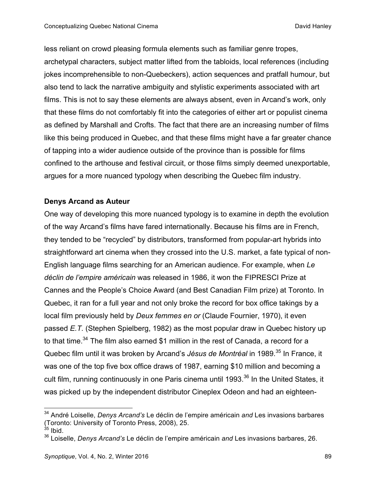less reliant on crowd pleasing formula elements such as familiar genre tropes, archetypal characters, subject matter lifted from the tabloids, local references (including jokes incomprehensible to non-Quebeckers), action sequences and pratfall humour, but also tend to lack the narrative ambiguity and stylistic experiments associated with art films. This is not to say these elements are always absent, even in Arcand's work, only that these films do not comfortably fit into the categories of either art or populist cinema as defined by Marshall and Crofts. The fact that there are an increasing number of films like this being produced in Quebec, and that these films might have a far greater chance of tapping into a wider audience outside of the province than is possible for films confined to the arthouse and festival circuit, or those films simply deemed unexportable, argues for a more nuanced typology when describing the Quebec film industry.

#### **Denys Arcand as Auteur**

One way of developing this more nuanced typology is to examine in depth the evolution of the way Arcand's films have fared internationally. Because his films are in French, they tended to be "recycled" by distributors, transformed from popular-art hybrids into straightforward art cinema when they crossed into the U.S. market, a fate typical of non-English language films searching for an American audience. For example, when *Le déclin de l'empire américain* was released in 1986, it won the FIPRESCI Prize at Cannes and the People's Choice Award (and Best Canadian Film prize) at Toronto. In Quebec, it ran for a full year and not only broke the record for box office takings by a local film previously held by *Deux femmes en or* (Claude Fournier, 1970), it even passed *E.T.* (Stephen Spielberg, 1982) as the most popular draw in Quebec history up to that time.<sup>34</sup> The film also earned \$1 million in the rest of Canada, a record for a Quebec film until it was broken by Arcand's Jésus de Montréal in 1989.<sup>35</sup> In France. it was one of the top five box office draws of 1987, earning \$10 million and becoming a cult film, running continuously in one Paris cinema until 1993.<sup>36</sup> In the United States, it was picked up by the independent distributor Cineplex Odeon and had an eighteen-

<sup>34</sup> André Loiselle, *Denys Arcand's* Le déclin de l'empire américain *and* Les invasions barbares (Toronto: University of Toronto Press, 2008), 25.

 $35$  Ibid.

<sup>36</sup> Loiselle, *Denys Arcand's* Le déclin de l'empire américain *and* Les invasions barbares, 26.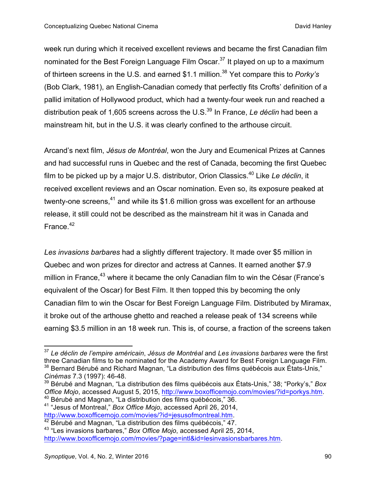week run during which it received excellent reviews and became the first Canadian film nominated for the Best Foreign Language Film Oscar.<sup>37</sup> It played on up to a maximum of thirteen screens in the U.S. and earned \$1.1 million.38 Yet compare this to *Porky's*  (Bob Clark, 1981), an English-Canadian comedy that perfectly fits Crofts' definition of a pallid imitation of Hollywood product, which had a twenty-four week run and reached a distribution peak of 1,605 screens across the U.S.39 In France, *Le déclin* had been a mainstream hit, but in the U.S. it was clearly confined to the arthouse circuit.

Arcand's next film, *Jésus de Montréal*, won the Jury and Ecumenical Prizes at Cannes and had successful runs in Quebec and the rest of Canada, becoming the first Quebec film to be picked up by a major U.S. distributor, Orion Classics.<sup>40</sup> Like *Le déclin*, it received excellent reviews and an Oscar nomination. Even so, its exposure peaked at twenty-one screens, $41$  and while its \$1.6 million gross was excellent for an arthouse release, it still could not be described as the mainstream hit it was in Canada and France. $42$ 

*Les invasions barbares* had a slightly different trajectory. It made over \$5 million in Quebec and won prizes for director and actress at Cannes. It earned another \$7.9 million in France,<sup>43</sup> where it became the only Canadian film to win the César (France's equivalent of the Oscar) for Best Film. It then topped this by becoming the only Canadian film to win the Oscar for Best Foreign Language Film. Distributed by Miramax, it broke out of the arthouse ghetto and reached a release peak of 134 screens while earning \$3.5 million in an 18 week run. This is, of course, a fraction of the screens taken

 <sup>37</sup> *Le déclin de l'empire américain*, *Jésus de Montréal* and *Les invasions barbares* were the first three Canadian films to be nominated for the Academy Award for Best Foreign Language Film. <sup>38</sup> Bernard Bérubé and Richard Magnan, "La distribution des films québécois aux États-Unis," *Cinémas* 7.3 (1997): 46-48.

<sup>39</sup> Bérubé and Magnan, "La distribution des films québécois aux États-Unis," 38; "Porky's," *Box Office Mojo*, accessed August 5, 2015, http://www.boxofficemojo.com/movies/?id=porkys.htm.<br><sup>40</sup> Bérubé and Magnan, "La distribution des films québécois," 36.

<sup>41</sup> "Jesus of Montreal," *Box Office Mojo*, accessed April 26, 2014, http://www.boxofficemojo.com/movies/?id=jesusofmontreal.htm.<br><sup>42</sup> Bérubé and Magnan, "La distribution des films québécois," 47.

<sup>43</sup> "Les invasions barbares," *Box Office Mojo*, accessed April 25, 2014, http://www.boxofficemojo.com/movies/?page=intl&id=lesinvasionsbarbares.htm.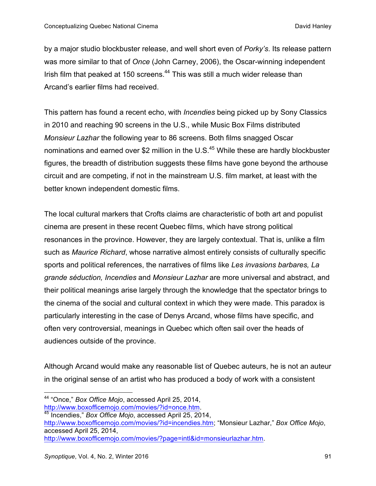by a major studio blockbuster release, and well short even of *Porky's*. Its release pattern was more similar to that of *Once* (John Carney, 2006), the Oscar-winning independent Irish film that peaked at 150 screens.<sup>44</sup> This was still a much wider release than Arcand's earlier films had received.

This pattern has found a recent echo, with *Incendies* being picked up by Sony Classics in 2010 and reaching 90 screens in the U.S., while Music Box Films distributed *Monsieur Lazhar* the following year to 86 screens. Both films snagged Oscar nominations and earned over \$2 million in the U.S.<sup>45</sup> While these are hardly blockbuster figures, the breadth of distribution suggests these films have gone beyond the arthouse circuit and are competing, if not in the mainstream U.S. film market, at least with the better known independent domestic films.

The local cultural markers that Crofts claims are characteristic of both art and populist cinema are present in these recent Quebec films, which have strong political resonances in the province. However, they are largely contextual. That is, unlike a film such as *Maurice Richard*, whose narrative almost entirely consists of culturally specific sports and political references, the narratives of films like *Les invasions barbares, La grande séduction, Incendies* and *Monsieur Lazhar* are more universal and abstract, and their political meanings arise largely through the knowledge that the spectator brings to the cinema of the social and cultural context in which they were made. This paradox is particularly interesting in the case of Denys Arcand, whose films have specific, and often very controversial, meanings in Quebec which often sail over the heads of audiences outside of the province.

Although Arcand would make any reasonable list of Quebec auteurs, he is not an auteur in the original sense of an artist who has produced a body of work with a consistent

<sup>44</sup> "Once," *Box Office Mojo*, accessed April 25, 2014,

http://www.boxofficemojo.com/movies/?id=once.htm. <sup>45</sup> Incendies," *Box Office Mojo*, accessed April 25, 2014,

http://www.boxofficemojo.com/movies/?id=incendies.htm; "Monsieur Lazhar," *Box Office Mojo*, accessed April 25, 2014, http://www.boxofficemojo.com/movies/?page=intl&id=monsieurlazhar.htm.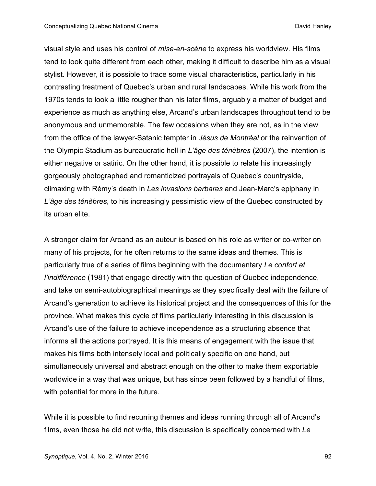visual style and uses his control of *mise-en-scène* to express his worldview. His films tend to look quite different from each other, making it difficult to describe him as a visual stylist. However, it is possible to trace some visual characteristics, particularly in his contrasting treatment of Quebec's urban and rural landscapes. While his work from the 1970s tends to look a little rougher than his later films, arguably a matter of budget and experience as much as anything else, Arcand's urban landscapes throughout tend to be anonymous and unmemorable. The few occasions when they are not, as in the view from the office of the lawyer-Satanic tempter in *Jésus de Montréal* or the reinvention of the Olympic Stadium as bureaucratic hell in *L'âge des ténèbres* (2007), the intention is either negative or satiric. On the other hand, it is possible to relate his increasingly gorgeously photographed and romanticized portrayals of Quebec's countryside, climaxing with Rémy's death in *Les invasions barbares* and Jean-Marc's epiphany in *L'âge des ténèbres*, to his increasingly pessimistic view of the Quebec constructed by its urban elite.

A stronger claim for Arcand as an auteur is based on his role as writer or co-writer on many of his projects, for he often returns to the same ideas and themes. This is particularly true of a series of films beginning with the documentary *Le confort et l'indifférence* (1981) that engage directly with the question of Quebec independence, and take on semi-autobiographical meanings as they specifically deal with the failure of Arcand's generation to achieve its historical project and the consequences of this for the province. What makes this cycle of films particularly interesting in this discussion is Arcand's use of the failure to achieve independence as a structuring absence that informs all the actions portrayed. It is this means of engagement with the issue that makes his films both intensely local and politically specific on one hand, but simultaneously universal and abstract enough on the other to make them exportable worldwide in a way that was unique, but has since been followed by a handful of films, with potential for more in the future.

While it is possible to find recurring themes and ideas running through all of Arcand's films, even those he did not write, this discussion is specifically concerned with *Le*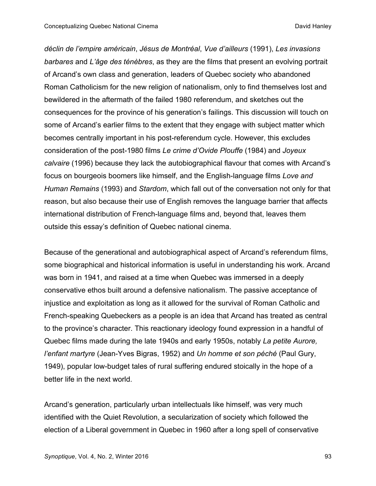*déclin de l'empire américain*, *Jésus de Montréal*, *Vue d'ailleurs* (1991), *Les invasions barbares* and *L'âge des ténèbres*, as they are the films that present an evolving portrait of Arcand's own class and generation, leaders of Quebec society who abandoned Roman Catholicism for the new religion of nationalism, only to find themselves lost and bewildered in the aftermath of the failed 1980 referendum, and sketches out the consequences for the province of his generation's failings. This discussion will touch on some of Arcand's earlier films to the extent that they engage with subject matter which becomes centrally important in his post-referendum cycle. However, this excludes consideration of the post-1980 films *Le crime d'Ovide Plouffe* (1984) and *Joyeux calvaire* (1996) because they lack the autobiographical flavour that comes with Arcand's focus on bourgeois boomers like himself, and the English-language films *Love and Human Remains* (1993) and *Stardom*, which fall out of the conversation not only for that reason, but also because their use of English removes the language barrier that affects international distribution of French-language films and, beyond that, leaves them outside this essay's definition of Quebec national cinema.

Because of the generational and autobiographical aspect of Arcand's referendum films, some biographical and historical information is useful in understanding his work. Arcand was born in 1941, and raised at a time when Quebec was immersed in a deeply conservative ethos built around a defensive nationalism. The passive acceptance of injustice and exploitation as long as it allowed for the survival of Roman Catholic and French-speaking Quebeckers as a people is an idea that Arcand has treated as central to the province's character. This reactionary ideology found expression in a handful of Quebec films made during the late 1940s and early 1950s, notably *La petite Aurore, l'enfant martyre* (Jean-Yves Bigras, 1952) and *Un homme et son péché* (Paul Gury, 1949), popular low-budget tales of rural suffering endured stoically in the hope of a better life in the next world.

Arcand's generation, particularly urban intellectuals like himself, was very much identified with the Quiet Revolution, a secularization of society which followed the election of a Liberal government in Quebec in 1960 after a long spell of conservative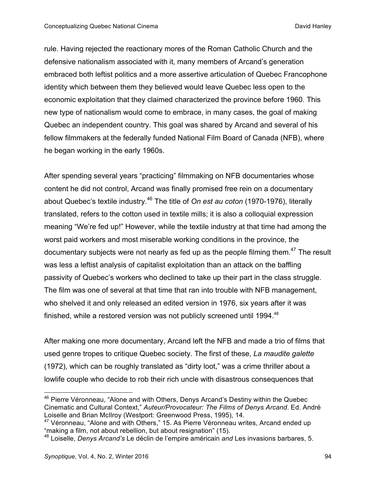rule. Having rejected the reactionary mores of the Roman Catholic Church and the defensive nationalism associated with it, many members of Arcand's generation embraced both leftist politics and a more assertive articulation of Quebec Francophone identity which between them they believed would leave Quebec less open to the economic exploitation that they claimed characterized the province before 1960. This new type of nationalism would come to embrace, in many cases, the goal of making Quebec an independent country. This goal was shared by Arcand and several of his fellow filmmakers at the federally funded National Film Board of Canada (NFB), where he began working in the early 1960s.

After spending several years "practicing" filmmaking on NFB documentaries whose content he did not control, Arcand was finally promised free rein on a documentary about Quebec's textile industry.<sup>46</sup> The title of *On est au coton* (1970-1976), literally translated, refers to the cotton used in textile mills; it is also a colloquial expression meaning "We're fed up!" However, while the textile industry at that time had among the worst paid workers and most miserable working conditions in the province, the documentary subjects were not nearly as fed up as the people filming them.<sup>47</sup> The result was less a leftist analysis of capitalist exploitation than an attack on the baffling passivity of Quebec's workers who declined to take up their part in the class struggle. The film was one of several at that time that ran into trouble with NFB management, who shelved it and only released an edited version in 1976, six years after it was finished, while a restored version was not publicly screened until 1994.<sup>48</sup>

After making one more documentary, Arcand left the NFB and made a trio of films that used genre tropes to critique Quebec society. The first of these, *La maudite galette* (1972), which can be roughly translated as "dirty loot," was a crime thriller about a lowlife couple who decide to rob their rich uncle with disastrous consequences that

<sup>&</sup>lt;sup>46</sup> Pierre Véronneau, "Alone and with Others, Denys Arcand's Destiny within the Quebec Cinematic and Cultural Context," *Auteur/Provocateur: The Films of Denys Arcand*. Ed. André Loiselle and Brian McIlroy (Westport: Greenwood Press, 1995), 14.

<sup>&</sup>lt;sup>47</sup> Véronneau, "Alone and with Others," 15. As Pierre Véronneau writes, Arcand ended up "making a film, not about rebellion, but about resignation" (15).

<sup>48</sup> Loiselle, *Denys Arcand's* Le déclin de l'empire américain *and* Les invasions barbares, 5.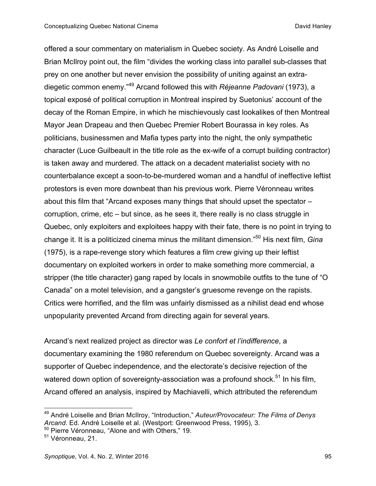offered a sour commentary on materialism in Quebec society. As André Loiselle and Brian McIlroy point out, the film "divides the working class into parallel sub-classes that prey on one another but never envision the possibility of uniting against an extradiegetic common enemy."<sup>49</sup> Arcand followed this with *Réjeanne Padovani* (1973), a topical exposé of political corruption in Montreal inspired by Suetonius' account of the decay of the Roman Empire, in which he mischievously cast lookalikes of then Montreal Mayor Jean Drapeau and then Quebec Premier Robert Bourassa in key roles. As politicians, businessmen and Mafia types party into the night, the only sympathetic character (Luce Guilbeault in the title role as the ex-wife of a corrupt building contractor) is taken away and murdered. The attack on a decadent materialist society with no counterbalance except a soon-to-be-murdered woman and a handful of ineffective leftist protestors is even more downbeat than his previous work. Pierre Véronneau writes about this film that "Arcand exposes many things that should upset the spectator – corruption, crime, etc – but since, as he sees it, there really is no class struggle in Quebec, only exploiters and exploitees happy with their fate, there is no point in trying to change it. It is a politicized cinema minus the militant dimension."50 His next film, *Gina* (1975), is a rape-revenge story which features a film crew giving up their leftist documentary on exploited workers in order to make something more commercial, a stripper (the title character) gang raped by locals in snowmobile outfits to the tune of "O Canada" on a motel television, and a gangster's gruesome revenge on the rapists. Critics were horrified, and the film was unfairly dismissed as a nihilist dead end whose unpopularity prevented Arcand from directing again for several years.

Arcand's next realized project as director was *Le confort et l'indifference*, a documentary examining the 1980 referendum on Quebec sovereignty. Arcand was a supporter of Quebec independence, and the electorate's decisive rejection of the watered down option of sovereignty-association was a profound shock.<sup>51</sup> In his film. Arcand offered an analysis, inspired by Machiavelli, which attributed the referendum

<sup>49</sup> André Loiselle and Brian McIlroy, "Introduction," *Auteur/Provocateur: The Films of Denys Arcand*. Ed. André Loiselle et al. (Westport: Greenwood Press, 1995), 3.

<sup>&</sup>lt;sup>50</sup> Pierre Véronneau, "Alone and with Others," 19.

<sup>51</sup> Véronneau, 21.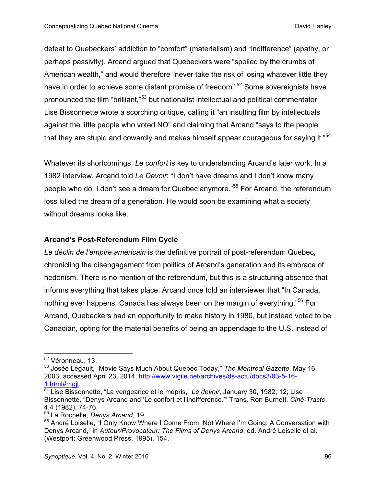defeat to Quebeckers' addiction to "comfort" (materialism) and "indifference" (apathy, or perhaps passivity). Arcand argued that Quebeckers were "spoiled by the crumbs of American wealth," and would therefore "never take the risk of losing whatever little they have in order to achieve some distant promise of freedom."<sup>52</sup> Some sovereignists have pronounced the film "brilliant,"<sup>53</sup> but nationalist intellectual and political commentator Lise Bissonnette wrote a scorching critique, calling it "an insulting film by intellectuals against the little people who voted NO" and claiming that Arcand "says to the people that they are stupid and cowardly and makes himself appear courageous for saying it."<sup>54</sup>

Whatever its shortcomings, *Le confort* is key to understanding Arcand's later work. In a 1982 interview, Arcand told *Le Devoir*: "I don't have dreams and I don't know many people who do. I don't see a dream for Quebec anymore."55 For Arcand, the referendum loss killed the dream of a generation. He would soon be examining what a society without dreams looks like.

#### **Arcand's Post-Referendum Film Cycle**

*Le déclin de l'empire américain* is the definitive portrait of post-referendum Quebec, chronicling the disengagement from politics of Arcand's generation and its embrace of hedonism. There is no mention of the referendum, but this is a structuring absence that informs everything that takes place. Arcand once told an interviewer that "In Canada, nothing ever happens. Canada has always been on the margin of everything."<sup>56</sup> For Arcand, Quebeckers had an opportunity to make history in 1980, but instead voted to be Canadian, opting for the material benefits of being an appendage to the U.S. instead of

<sup>52</sup> Véronneau, 13.

<sup>53</sup> Josée Legault, "Movie Says Much About Quebec Today," *The Montreal Gazette*, May 16, 2003, accessed April 23, 2014, http://www.vigile.net/archives/ds-actu/docs3/03-5-16- 1.html#mgjl. <sup>54</sup> Lise Bissonnette, "La vengeance et le mépris," *Le devoir*, January 30, 1982, 12; Lise

Bissonnette, "Denys Arcand and 'Le confort et l'indifference.'" Trans. Ron Burnett. *Ciné-Tracts* 4.4 (1982), 74-76.

<sup>55</sup> La Rochelle, *Denys Arcand*, 19.

<sup>&</sup>lt;sup>56</sup> André Loiselle, "I Only Know Where I Come From, Not Where I'm Going: A Conversation with Denys Arcand," in *Auteur/Provocateur: The Films of Denys Arcand*, ed. André Loiselle et al. (Westport: Greenwood Press, 1995), 154.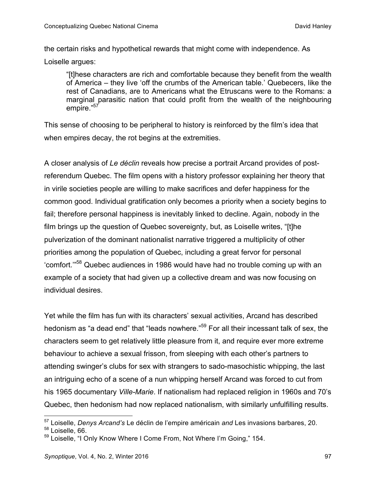the certain risks and hypothetical rewards that might come with independence. As Loiselle argues:

"[t]hese characters are rich and comfortable because they benefit from the wealth of America – they live 'off the crumbs of the American table.' Quebecers, like the rest of Canadians, are to Americans what the Etruscans were to the Romans: a marginal parasitic nation that could profit from the wealth of the neighbouring empire."<sup>57</sup>

This sense of choosing to be peripheral to history is reinforced by the film's idea that when empires decay, the rot begins at the extremities.

A closer analysis of *Le déclin* reveals how precise a portrait Arcand provides of postreferendum Quebec. The film opens with a history professor explaining her theory that in virile societies people are willing to make sacrifices and defer happiness for the common good. Individual gratification only becomes a priority when a society begins to fail; therefore personal happiness is inevitably linked to decline. Again, nobody in the film brings up the question of Quebec sovereignty, but, as Loiselle writes, "[t]he pulverization of the dominant nationalist narrative triggered a multiplicity of other priorities among the population of Quebec, including a great fervor for personal 'comfort.'"58 Quebec audiences in 1986 would have had no trouble coming up with an example of a society that had given up a collective dream and was now focusing on individual desires.

Yet while the film has fun with its characters' sexual activities, Arcand has described hedonism as "a dead end" that "leads nowhere."<sup>59</sup> For all their incessant talk of sex, the characters seem to get relatively little pleasure from it, and require ever more extreme behaviour to achieve a sexual frisson, from sleeping with each other's partners to attending swinger's clubs for sex with strangers to sado-masochistic whipping, the last an intriguing echo of a scene of a nun whipping herself Arcand was forced to cut from his 1965 documentary *Ville-Marie*. If nationalism had replaced religion in 1960s and 70's Quebec, then hedonism had now replaced nationalism, with similarly unfulfilling results.

<sup>57</sup> Loiselle, *Denys Arcand's* Le déclin de l'empire américain *and* Les invasions barbares, 20.

<sup>&</sup>lt;sup>58</sup> Loiselle, 66.

<sup>&</sup>lt;sup>59</sup> Loiselle, "I Only Know Where I Come From, Not Where I'm Going," 154.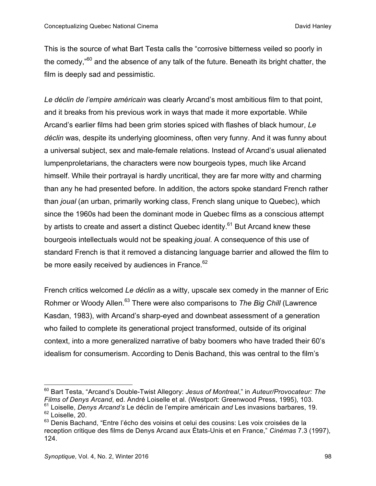This is the source of what Bart Testa calls the "corrosive bitterness veiled so poorly in the comedy,"<sup>60</sup> and the absence of any talk of the future. Beneath its bright chatter, the film is deeply sad and pessimistic.

*Le déclin de l'empire américain* was clearly Arcand's most ambitious film to that point, and it breaks from his previous work in ways that made it more exportable. While Arcand's earlier films had been grim stories spiced with flashes of black humour, *Le déclin* was, despite its underlying gloominess, often very funny. And it was funny about a universal subject, sex and male-female relations. Instead of Arcand's usual alienated lumpenproletarians, the characters were now bourgeois types, much like Arcand himself. While their portrayal is hardly uncritical, they are far more witty and charming than any he had presented before. In addition, the actors spoke standard French rather than *joual* (an urban, primarily working class, French slang unique to Quebec), which since the 1960s had been the dominant mode in Quebec films as a conscious attempt by artists to create and assert a distinct Quebec identity.<sup>61</sup> But Arcand knew these bourgeois intellectuals would not be speaking *joual*. A consequence of this use of standard French is that it removed a distancing language barrier and allowed the film to be more easily received by audiences in France.<sup>62</sup>

French critics welcomed *Le déclin* as a witty, upscale sex comedy in the manner of Eric Rohmer or Woody Allen.<sup>63</sup> There were also comparisons to *The Big Chill* (Lawrence Kasdan, 1983), with Arcand's sharp-eyed and downbeat assessment of a generation who failed to complete its generational project transformed, outside of its original context, into a more generalized narrative of baby boomers who have traded their 60's idealism for consumerism. According to Denis Bachand, this was central to the film's

<sup>60</sup> Bart Testa, "Arcand's Double-Twist Allegory: *Jesus of Montreal*," in *Auteur/Provocateur: The Films of Denys Arcand*, ed. André Loiselle et al. (Westport: Greenwood Press, 1995), 103.

<sup>61</sup> Loiselle, *Denys Arcand's* Le déclin de l'empire américain *and* Les invasions barbares, 19. <sup>62</sup> Loiselle, 20.

<sup>&</sup>lt;sup>63</sup> Denis Bachand, "Entre l'écho des voisins et celui des cousins: Les voix croisées de la reception critique des films de Denys Arcand aux États-Unis et en France," *Cinémas* 7.3 (1997), 124.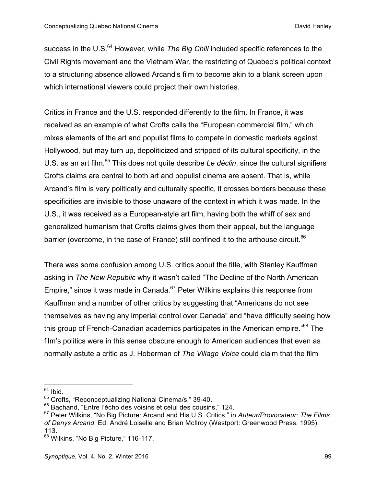success in the U.S.<sup>64</sup> However, while *The Big Chill* included specific references to the Civil Rights movement and the Vietnam War, the restricting of Quebec's political context to a structuring absence allowed Arcand's film to become akin to a blank screen upon which international viewers could project their own histories.

Critics in France and the U.S. responded differently to the film. In France, it was received as an example of what Crofts calls the "European commercial film," which mixes elements of the art and populist films to compete in domestic markets against Hollywood, but may turn up, depoliticized and stripped of its cultural specificity, in the U.S. as an art film.<sup>65</sup> This does not quite describe *Le déclin*, since the cultural signifiers Crofts claims are central to both art and populist cinema are absent. That is, while Arcand's film is very politically and culturally specific, it crosses borders because these specificities are invisible to those unaware of the context in which it was made. In the U.S., it was received as a European-style art film, having both the whiff of sex and generalized humanism that Crofts claims gives them their appeal, but the language barrier (overcome, in the case of France) still confined it to the arthouse circuit.<sup>66</sup>

There was some confusion among U.S. critics about the title, with Stanley Kauffman asking in *The New Republic* why it wasn't called "The Decline of the North American Empire," since it was made in Canada. $67$  Peter Wilkins explains this response from Kauffman and a number of other critics by suggesting that "Americans do not see themselves as having any imperial control over Canada" and "have difficulty seeing how this group of French-Canadian academics participates in the American empire.<sup>"68</sup> The film's politics were in this sense obscure enough to American audiences that even as normally astute a critic as J. Hoberman of *The Village Voice* could claim that the film

 $64$  Ibid.

<sup>&</sup>lt;sup>65</sup> Crofts, "Reconceptualizing National Cinema/s," 39-40.

<sup>&</sup>lt;sup>66</sup> Bachand, "Entre l'écho des voisins et celui des cousins," 124.

<sup>67</sup> Peter Wilkins, "No Big Picture: Arcand and His U.S. Critics," in *Auteur/Provocateur: The Films of Denys Arcand*, Ed. André Loiselle and Brian McIlroy (Westport: Greenwood Press, 1995), 113.

<sup>&</sup>lt;sup>68</sup> Wilkins, "No Big Picture," 116-117.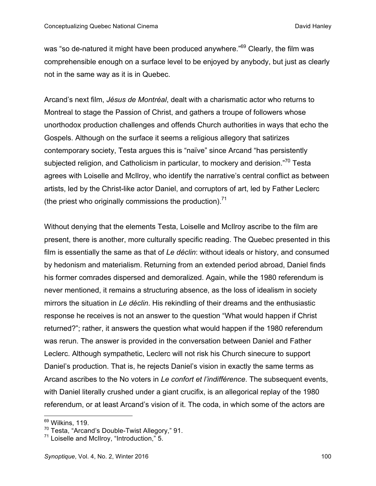was "so de-natured it might have been produced anywhere."<sup>69</sup> Clearly, the film was comprehensible enough on a surface level to be enjoyed by anybody, but just as clearly not in the same way as it is in Quebec.

Arcand's next film, *Jésus de Montréal*, dealt with a charismatic actor who returns to Montreal to stage the Passion of Christ, and gathers a troupe of followers whose unorthodox production challenges and offends Church authorities in ways that echo the Gospels. Although on the surface it seems a religious allegory that satirizes contemporary society, Testa argues this is "naïve" since Arcand "has persistently subjected religion, and Catholicism in particular, to mockery and derision."<sup>70</sup> Testa agrees with Loiselle and McIlroy, who identify the narrative's central conflict as between artists, led by the Christ-like actor Daniel, and corruptors of art, led by Father Leclerc (the priest who originally commissions the production).<sup>71</sup>

Without denying that the elements Testa, Loiselle and McIlroy ascribe to the film are present, there is another, more culturally specific reading. The Quebec presented in this film is essentially the same as that of *Le déclin*: without ideals or history, and consumed by hedonism and materialism. Returning from an extended period abroad, Daniel finds his former comrades dispersed and demoralized. Again, while the 1980 referendum is never mentioned, it remains a structuring absence, as the loss of idealism in society mirrors the situation in *Le déclin*. His rekindling of their dreams and the enthusiastic response he receives is not an answer to the question "What would happen if Christ returned?"; rather, it answers the question what would happen if the 1980 referendum was rerun. The answer is provided in the conversation between Daniel and Father Leclerc. Although sympathetic, Leclerc will not risk his Church sinecure to support Daniel's production. That is, he rejects Daniel's vision in exactly the same terms as Arcand ascribes to the No voters in *Le confort et l'indifférence*. The subsequent events, with Daniel literally crushed under a giant crucifix, is an allegorical replay of the 1980 referendum, or at least Arcand's vision of it. The coda, in which some of the actors are

<sup>69</sup> Wilkins, 119.

<sup>&</sup>lt;sup>70</sup> Testa, "Arcand's Double-Twist Allegory," 91.

 $71$  Loiselle and McIlroy, "Introduction," 5.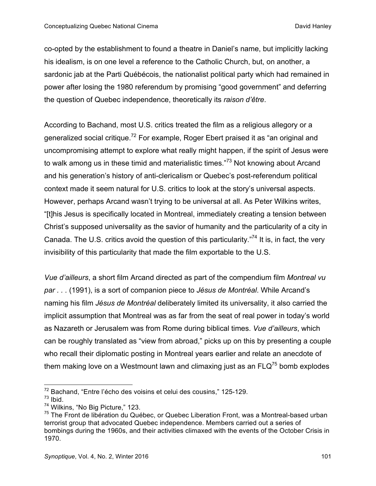co-opted by the establishment to found a theatre in Daniel's name, but implicitly lacking his idealism, is on one level a reference to the Catholic Church, but, on another, a sardonic jab at the Parti Québécois, the nationalist political party which had remained in power after losing the 1980 referendum by promising "good government" and deferring the question of Quebec independence, theoretically its *raison d'être*.

According to Bachand, most U.S. critics treated the film as a religious allegory or a generalized social critique.<sup>72</sup> For example, Roger Ebert praised it as "an original and uncompromising attempt to explore what really might happen, if the spirit of Jesus were to walk among us in these timid and materialistic times."<sup>73</sup> Not knowing about Arcand and his generation's history of anti-clericalism or Quebec's post-referendum political context made it seem natural for U.S. critics to look at the story's universal aspects. However, perhaps Arcand wasn't trying to be universal at all. As Peter Wilkins writes, "[t]his Jesus is specifically located in Montreal, immediately creating a tension between Christ's supposed universality as the savior of humanity and the particularity of a city in Canada. The U.S. critics avoid the question of this particularity.<sup>"74</sup> It is, in fact, the very invisibility of this particularity that made the film exportable to the U.S.

*Vue d'ailleurs*, a short film Arcand directed as part of the compendium film *Montreal vu par . . .* (1991), is a sort of companion piece to *Jésus de Montréal*. While Arcand's naming his film *Jésus de Montréal* deliberately limited its universality, it also carried the implicit assumption that Montreal was as far from the seat of real power in today's world as Nazareth or Jerusalem was from Rome during biblical times. *Vue d'ailleurs*, which can be roughly translated as "view from abroad," picks up on this by presenting a couple who recall their diplomatic posting in Montreal years earlier and relate an anecdote of them making love on a Westmount lawn and climaxing just as an  $F L Q^{75}$  bomb explodes

<sup>72</sup> Bachand, "Entre l'écho des voisins et celui des cousins," 125-129.

 $73$  Ibid.

<sup>&</sup>lt;sup>74</sup> Wilkins, "No Big Picture," 123.

 $75$  The Front de libération du Québec, or Quebec Liberation Front, was a Montreal-based urban terrorist group that advocated Quebec independence. Members carried out a series of bombings during the 1960s, and their activities climaxed with the events of the October Crisis in 1970.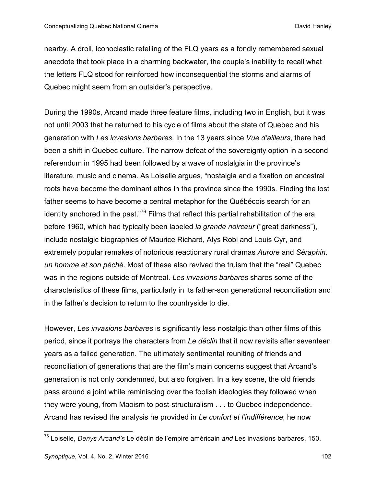nearby. A droll, iconoclastic retelling of the FLQ years as a fondly remembered sexual anecdote that took place in a charming backwater, the couple's inability to recall what the letters FLQ stood for reinforced how inconsequential the storms and alarms of Quebec might seem from an outsider's perspective.

During the 1990s, Arcand made three feature films, including two in English, but it was not until 2003 that he returned to his cycle of films about the state of Quebec and his generation with *Les invasions barbares*. In the 13 years since *Vue d'ailleurs*, there had been a shift in Quebec culture. The narrow defeat of the sovereignty option in a second referendum in 1995 had been followed by a wave of nostalgia in the province's literature, music and cinema. As Loiselle argues, "nostalgia and a fixation on ancestral roots have become the dominant ethos in the province since the 1990s. Finding the lost father seems to have become a central metaphor for the Québécois search for an identity anchored in the past. $176$  Films that reflect this partial rehabilitation of the era before 1960, which had typically been labeled *la grande noirceur* ("great darkness"), include nostalgic biographies of Maurice Richard, Alys Robi and Louis Cyr, and extremely popular remakes of notorious reactionary rural dramas *Aurore* and *Séraphin, un homme et son péché*. Most of these also revived the truism that the "real" Quebec was in the regions outside of Montreal. *Les invasions barbares* shares some of the characteristics of these films, particularly in its father-son generational reconciliation and in the father's decision to return to the countryside to die.

However, *Les invasions barbares* is significantly less nostalgic than other films of this period, since it portrays the characters from *Le déclin* that it now revisits after seventeen years as a failed generation. The ultimately sentimental reuniting of friends and reconciliation of generations that are the film's main concerns suggest that Arcand's generation is not only condemned, but also forgiven. In a key scene, the old friends pass around a joint while reminiscing over the foolish ideologies they followed when they were young, from Maoism to post-structuralism . . . to Quebec independence. Arcand has revised the analysis he provided in *Le confort et l'indifférence*; he now

<sup>76</sup> Loiselle, *Denys Arcand's* Le déclin de l'empire américain *and* Les invasions barbares, 150.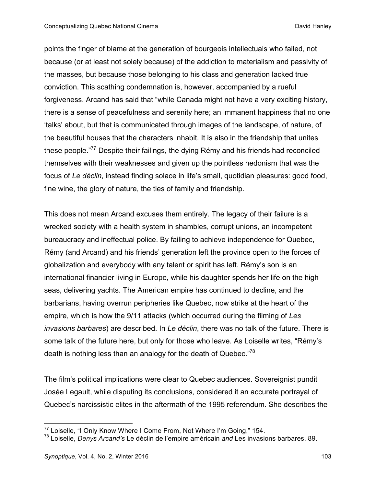points the finger of blame at the generation of bourgeois intellectuals who failed, not because (or at least not solely because) of the addiction to materialism and passivity of the masses, but because those belonging to his class and generation lacked true conviction. This scathing condemnation is, however, accompanied by a rueful forgiveness. Arcand has said that "while Canada might not have a very exciting history, there is a sense of peacefulness and serenity here; an immanent happiness that no one 'talks' about, but that is communicated through images of the landscape, of nature, of the beautiful houses that the characters inhabit. It is also in the friendship that unites these people."<sup>77</sup> Despite their failings, the dying Rémy and his friends had reconciled themselves with their weaknesses and given up the pointless hedonism that was the focus of *Le déclin*, instead finding solace in life's small, quotidian pleasures: good food, fine wine, the glory of nature, the ties of family and friendship.

This does not mean Arcand excuses them entirely. The legacy of their failure is a wrecked society with a health system in shambles, corrupt unions, an incompetent bureaucracy and ineffectual police. By failing to achieve independence for Quebec, Rémy (and Arcand) and his friends' generation left the province open to the forces of globalization and everybody with any talent or spirit has left. Rémy's son is an international financier living in Europe, while his daughter spends her life on the high seas, delivering yachts. The American empire has continued to decline, and the barbarians, having overrun peripheries like Quebec, now strike at the heart of the empire, which is how the 9/11 attacks (which occurred during the filming of *Les invasions barbares*) are described. In *Le déclin*, there was no talk of the future. There is some talk of the future here, but only for those who leave. As Loiselle writes, "Rémy's death is nothing less than an analogy for the death of Quebec."<sup>78</sup>

The film's political implications were clear to Quebec audiences. Sovereignist pundit Josée Legault, while disputing its conclusions, considered it an accurate portrayal of Quebec's narcissistic elites in the aftermath of the 1995 referendum. She describes the

<sup>&</sup>lt;sup>77</sup> Loiselle, "I Only Know Where I Come From, Not Where I'm Going," 154.

<sup>78</sup> Loiselle, *Denys Arcand's* Le déclin de l'empire américain *and* Les invasions barbares, 89.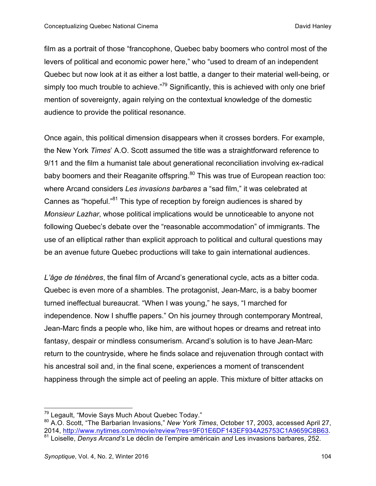film as a portrait of those "francophone, Quebec baby boomers who control most of the levers of political and economic power here," who "used to dream of an independent Quebec but now look at it as either a lost battle, a danger to their material well-being, or simply too much trouble to achieve."<sup>79</sup> Significantly, this is achieved with only one brief mention of sovereignty, again relying on the contextual knowledge of the domestic audience to provide the political resonance.

Once again, this political dimension disappears when it crosses borders. For example, the New York *Times*' A.O. Scott assumed the title was a straightforward reference to 9/11 and the film a humanist tale about generational reconciliation involving ex-radical baby boomers and their Reaganite offspring.<sup>80</sup> This was true of European reaction too: where Arcand considers *Les invasions barbares* a "sad film," it was celebrated at Cannes as "hopeful."81 This type of reception by foreign audiences is shared by *Monsieur Lazhar*, whose political implications would be unnoticeable to anyone not following Quebec's debate over the "reasonable accommodation" of immigrants. The use of an elliptical rather than explicit approach to political and cultural questions may be an avenue future Quebec productions will take to gain international audiences.

*L'âge de ténèbres*, the final film of Arcand's generational cycle, acts as a bitter coda. Quebec is even more of a shambles. The protagonist, Jean-Marc, is a baby boomer turned ineffectual bureaucrat. "When I was young," he says, "I marched for independence. Now I shuffle papers." On his journey through contemporary Montreal, Jean-Marc finds a people who, like him, are without hopes or dreams and retreat into fantasy, despair or mindless consumerism. Arcand's solution is to have Jean-Marc return to the countryside, where he finds solace and rejuvenation through contact with his ancestral soil and, in the final scene, experiences a moment of transcendent happiness through the simple act of peeling an apple. This mixture of bitter attacks on

<sup>&</sup>lt;sup>79</sup> Legault, "Movie Says Much About Quebec Today."

<sup>80</sup> A.O. Scott, "The Barbarian Invasions," *New York Times*, October 17, 2003, accessed April 27, 2014, http://www.nytimes.com/movie/review?res=9F01E6DF143EF934A25753C1A9659C8B63.<br><sup>81</sup> Loiselle, *Denys Arcand's* Le déclin de l'empire américain *and* Les invasions barbares, 252.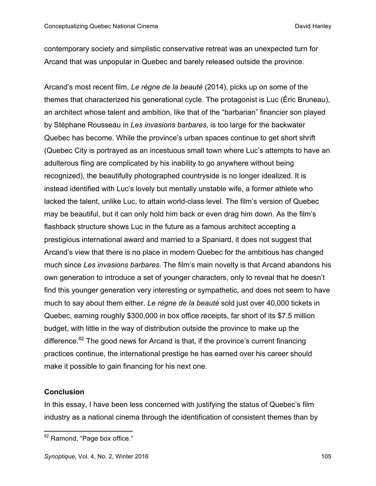contemporary society and simplistic conservative retreat was an unexpected turn for Arcand that was unpopular in Quebec and barely released outside the province.

Arcand's most recent film, *Le règne de la beauté* (2014), picks up on some of the themes that characterized his generational cycle. The protagonist is Luc (Éric Bruneau), an architect whose talent and ambition, like that of the "barbarian" financier son played by Stéphane Rousseau in *Les invasions barbares*, is too large for the backwater Quebec has become. While the province's urban spaces continue to get short shrift (Quebec City is portrayed as an incestuous small town where Luc's attempts to have an adulterous fling are complicated by his inability to go anywhere without being recognized), the beautifully photographed countryside is no longer idealized. It is instead identified with Luc's lovely but mentally unstable wife, a former athlete who lacked the talent, unlike Luc, to attain world-class level. The film's version of Quebec may be beautiful, but it can only hold him back or even drag him down. As the film's flashback structure shows Luc in the future as a famous architect accepting a prestigious international award and married to a Spaniard, it does not suggest that Arcand's view that there is no place in modern Quebec for the ambitious has changed much since *Les invasions barbares*. The film's main novelty is that Arcand abandons his own generation to introduce a set of younger characters, only to reveal that he doesn't find this younger generation very interesting or sympathetic, and does not seem to have much to say about them either. *Le règne de la beauté* sold just over 40,000 tickets in Quebec, earning roughly \$300,000 in box office receipts, far short of its \$7.5 million budget, with little in the way of distribution outside the province to make up the difference.<sup>82</sup> The good news for Arcand is that, if the province's current financing practices continue, the international prestige he has earned over his career should make it possible to gain financing for his next one.

#### **Conclusion**

In this essay, I have been less concerned with justifying the status of Quebec's film industry as a national cinema through the identification of consistent themes than by

<sup>&</sup>lt;u> 1989 - Johann Stein, fransk politik (d. 1989)</u> <sup>82</sup> Ramond, "Page box office."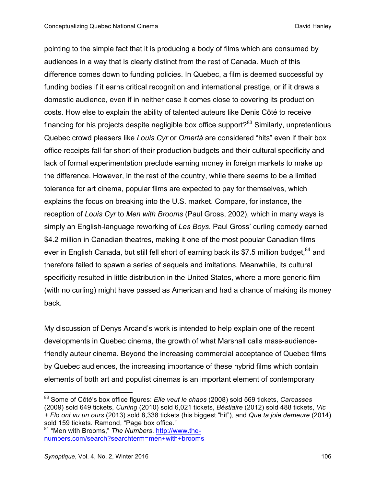pointing to the simple fact that it is producing a body of films which are consumed by audiences in a way that is clearly distinct from the rest of Canada. Much of this difference comes down to funding policies. In Quebec, a film is deemed successful by funding bodies if it earns critical recognition and international prestige, or if it draws a domestic audience, even if in neither case it comes close to covering its production costs. How else to explain the ability of talented auteurs like Denis Côté to receive financing for his projects despite negligible box office support? $83$  Similarly, unpretentious Quebec crowd pleasers like *Louis Cyr* or *Omertà* are considered "hits" even if their box office receipts fall far short of their production budgets and their cultural specificity and lack of formal experimentation preclude earning money in foreign markets to make up the difference. However, in the rest of the country, while there seems to be a limited tolerance for art cinema, popular films are expected to pay for themselves, which explains the focus on breaking into the U.S. market. Compare, for instance, the reception of *Louis Cyr* to *Men with Brooms* (Paul Gross, 2002), which in many ways is simply an English-language reworking of *Les Boys*. Paul Gross' curling comedy earned \$4.2 million in Canadian theatres, making it one of the most popular Canadian films ever in English Canada, but still fell short of earning back its \$7.5 million budget, 84 and therefore failed to spawn a series of sequels and imitations. Meanwhile, its cultural specificity resulted in little distribution in the United States, where a more generic film (with no curling) might have passed as American and had a chance of making its money back.

My discussion of Denys Arcand's work is intended to help explain one of the recent developments in Quebec cinema, the growth of what Marshall calls mass-audiencefriendly auteur cinema. Beyond the increasing commercial acceptance of Quebec films by Quebec audiences, the increasing importance of these hybrid films which contain elements of both art and populist cinemas is an important element of contemporary

<sup>83</sup> Some of Côté's box office figures: *Elle veut le chaos* (2008) sold 569 tickets, *Carcasses* (2009) sold 649 tickets, *Curling* (2010) sold 6,021 tickets, *Béstiaire* (2012) sold 488 tickets, *Vic + Flo ont vu un ours* (2013) sold 8,338 tickets (his biggest "hit"), and *Que ta joie demeure* (2014) sold 159 tickets. Ramond, "Page box office."

<sup>84</sup> "Men with Brooms," *The Numbers*. http://www.thenumbers.com/search?searchterm=men+with+brooms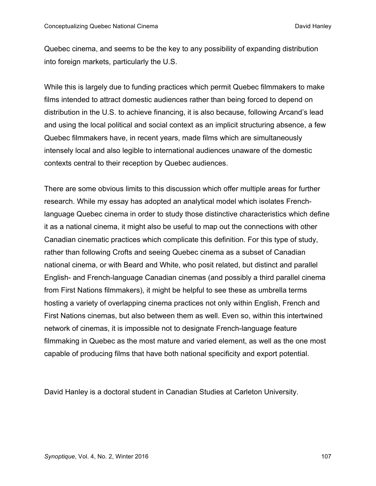Quebec cinema, and seems to be the key to any possibility of expanding distribution into foreign markets, particularly the U.S.

While this is largely due to funding practices which permit Quebec filmmakers to make films intended to attract domestic audiences rather than being forced to depend on distribution in the U.S. to achieve financing, it is also because, following Arcand's lead and using the local political and social context as an implicit structuring absence, a few Quebec filmmakers have, in recent years, made films which are simultaneously intensely local and also legible to international audiences unaware of the domestic contexts central to their reception by Quebec audiences.

There are some obvious limits to this discussion which offer multiple areas for further research. While my essay has adopted an analytical model which isolates Frenchlanguage Quebec cinema in order to study those distinctive characteristics which define it as a national cinema, it might also be useful to map out the connections with other Canadian cinematic practices which complicate this definition. For this type of study, rather than following Crofts and seeing Quebec cinema as a subset of Canadian national cinema, or with Beard and White, who posit related, but distinct and parallel English- and French-language Canadian cinemas (and possibly a third parallel cinema from First Nations filmmakers), it might be helpful to see these as umbrella terms hosting a variety of overlapping cinema practices not only within English, French and First Nations cinemas, but also between them as well. Even so, within this intertwined network of cinemas, it is impossible not to designate French-language feature filmmaking in Quebec as the most mature and varied element, as well as the one most capable of producing films that have both national specificity and export potential.

David Hanley is a doctoral student in Canadian Studies at Carleton University.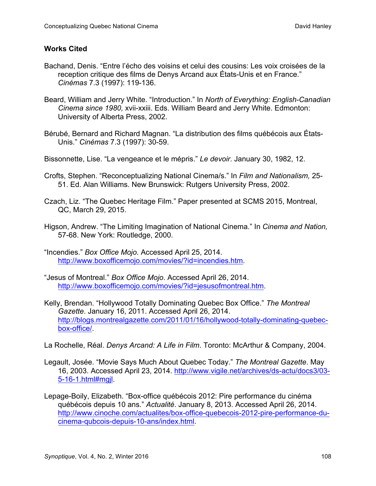### **Works Cited**

- Bachand, Denis. "Entre l'écho des voisins et celui des cousins: Les voix croisées de la reception critique des films de Denys Arcand aux États-Unis et en France." *Cinémas* 7.3 (1997): 119-136.
- Beard, William and Jerry White. "Introduction." In *North of Everything: English-Canadian Cinema since 1980,* xvii-xxiii. Eds. William Beard and Jerry White. Edmonton: University of Alberta Press, 2002.
- Bérubé, Bernard and Richard Magnan. "La distribution des films québécois aux États-Unis." *Cinémas* 7.3 (1997): 30-59.
- Bissonnette, Lise. "La vengeance et le mépris." *Le devoir*. January 30, 1982, 12.
- Crofts, Stephen. "Reconceptualizing National Cinema/s." In *Film and Nationalism,* 25- 51. Ed. Alan Williams. New Brunswick: Rutgers University Press, 2002.
- Czach, Liz. "The Quebec Heritage Film." Paper presented at SCMS 2015, Montreal, QC, March 29, 2015.
- Higson, Andrew. "The Limiting Imagination of National Cinema." In *Cinema and Nation,*  57-68. New York: Routledge, 2000.
- "Incendies." *Box Office Mojo*. Accessed April 25, 2014. http://www.boxofficemojo.com/movies/?id=incendies.htm.
- "Jesus of Montreal." *Box Office Mojo*. Accessed April 26, 2014. http://www.boxofficemojo.com/movies/?id=jesusofmontreal.htm.
- Kelly, Brendan. "Hollywood Totally Dominating Quebec Box Office." *The Montreal Gazette*. January 16, 2011. Accessed April 26, 2014. http://blogs.montrealgazette.com/2011/01/16/hollywood-totally-dominating-quebecbox-office/.

La Rochelle, Réal. *Denys Arcand: A Life in Film*. Toronto: McArthur & Company, 2004.

- Legault, Josée. "Movie Says Much About Quebec Today." *The Montreal Gazette*. May 16, 2003. Accessed April 23, 2014. http://www.vigile.net/archives/ds-actu/docs3/03- 5-16-1.html#mgjl.
- Lepage-Boily, Elizabeth. "Box-office québécois 2012: Pire performance du cinéma québécois depuis 10 ans." *Actualité*. January 8, 2013. Accessed April 26, 2014. http://www.cinoche.com/actualites/box-office-quebecois-2012-pire-performance-ducinema-qubcois-depuis-10-ans/index.html.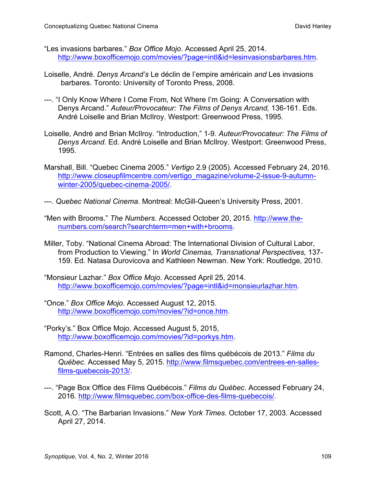- "Les invasions barbares." *Box Office Mojo*. Accessed April 25, 2014. http://www.boxofficemojo.com/movies/?page=intl&id=lesinvasionsbarbares.htm.
- Loiselle, André. *Denys Arcand's* Le déclin de l'empire américain *and* Les invasions barbares. Toronto: University of Toronto Press, 2008.
- ---. "I Only Know Where I Come From, Not Where I'm Going: A Conversation with Denys Arcand." *Auteur/Provocateur: The Films of Denys Arcand,* 136-161. Eds. André Loiselle and Brian McIlroy. Westport: Greenwood Press, 1995.
- Loiselle, André and Brian McIlroy. "Introduction," 1-9. *Auteur/Provocateur: The Films of Denys Arcand*. Ed. André Loiselle and Brian McIlroy. Westport: Greenwood Press, 1995.
- Marshall, Bill. "Quebec Cinema 2005." *Vertigo* 2.9 (2005). Accessed February 24, 2016. http://www.closeupfilmcentre.com/vertigo\_magazine/volume-2-issue-9-autumnwinter-2005/quebec-cinema-2005/.
- ---. *Quebec National Cinema*. Montreal: McGill-Queen's University Press, 2001.
- "Men with Brooms." *The Numbers*. Accessed October 20, 2015. http://www.thenumbers.com/search?searchterm=men+with+brooms.
- Miller, Toby. "National Cinema Abroad: The International Division of Cultural Labor, from Production to Viewing." In *World Cinemas, Transnational Perspectives,* 137- 159. Ed. Natasa Durovicova and Kathleen Newman. New York: Routledge, 2010.
- "Monsieur Lazhar." *Box Office Mojo*. Accessed April 25, 2014. http://www.boxofficemojo.com/movies/?page=intl&id=monsieurlazhar.htm.
- "Once." *Box Office Mojo*. Accessed August 12, 2015. http://www.boxofficemojo.com/movies/?id=once.htm.
- "Porky's." Box Office Mojo. Accessed August 5, 2015, http://www.boxofficemojo.com/movies/?id=porkys.htm.
- Ramond, Charles-Henri. "Entrées en salles des films québécois de 2013." *Films du Québec*. Accessed May 5, 2015. http://www.filmsquebec.com/entrees-en-sallesfilms-quebecois-2013/.
- ---. "Page Box Office des Films Québécois." *Films du Québec*. Accessed February 24, 2016. http://www.filmsquebec.com/box-office-des-films-quebecois/.
- Scott, A.O. "The Barbarian Invasions." *New York Times*. October 17, 2003. Accessed April 27, 2014.